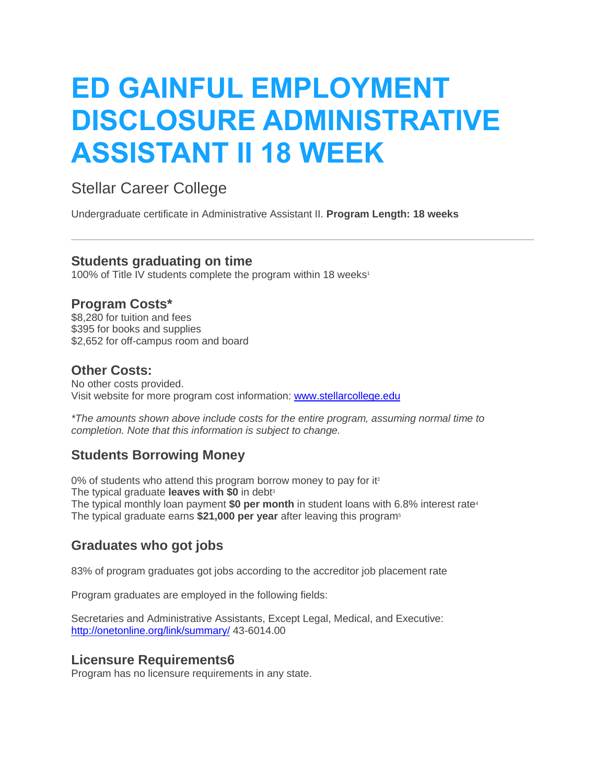# **ED GAINFUL EMPLOYMENT DISCLOSURE ADMINISTRATIVE ASSISTANT II 18 WEEK**

## Stellar Career College

Undergraduate certificate in Administrative Assistant II. **Program Length: 18 weeks**

#### **Students graduating on time**

100% of Title IV students complete the program within 18 weeks<sup>1</sup>

### **Program Costs\***

\$8,280 for tuition and fees \$395 for books and supplies \$2,652 for off-campus room and board

### **Other Costs:**

No other costs provided. Visit website for more program cost information: [www.stellarcollege.edu](http://www.stellarcollege.edu/)

*\*The amounts shown above include costs for the entire program, assuming normal time to completion. Note that this information is subject to change.*

#### **Students Borrowing Money**

0% of students who attend this program borrow money to pay for it<sup>2</sup> The typical graduate **leaves with \$0** in debt<sup>3</sup> The typical monthly loan payment **\$0 per month** in student loans with 6.8% interest rate<sup>4</sup> The typical graduate earns **\$21,000 per year** after leaving this program<sup>5</sup>

## **Graduates who got jobs**

83% of program graduates got jobs according to the accreditor job placement rate

Program graduates are employed in the following fields:

Secretaries and Administrative Assistants, Except Legal, Medical, and Executive: <http://onetonline.org/link/summary/> 43-6014.00

#### **Licensure Requirements6**

Program has no licensure requirements in any state.